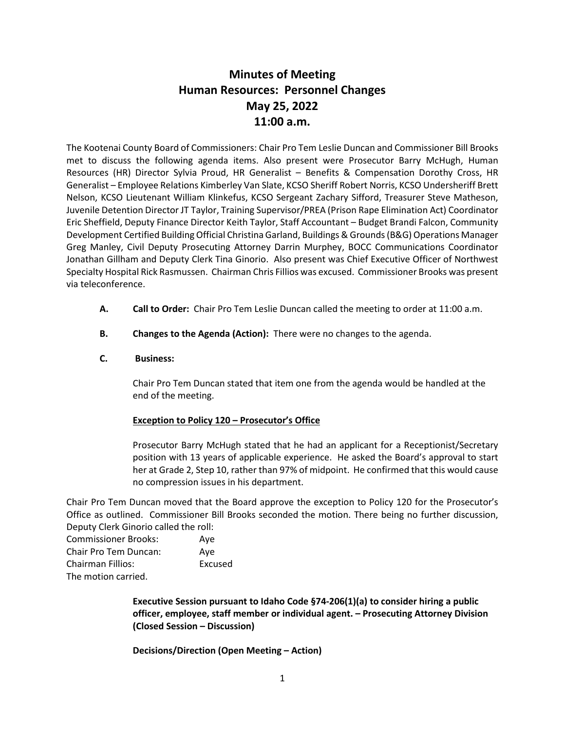# **Minutes of Meeting Human Resources: Personnel Changes May 25, 2022 11:00 a.m.**

The Kootenai County Board of Commissioners: Chair Pro Tem Leslie Duncan and Commissioner Bill Brooks met to discuss the following agenda items. Also present were Prosecutor Barry McHugh, Human Resources (HR) Director Sylvia Proud, HR Generalist – Benefits & Compensation Dorothy Cross, HR Generalist – Employee Relations Kimberley Van Slate, KCSO Sheriff Robert Norris, KCSO Undersheriff Brett Nelson, KCSO Lieutenant William Klinkefus, KCSO Sergeant Zachary Sifford, Treasurer Steve Matheson, Juvenile Detention Director JT Taylor, Training Supervisor/PREA (Prison Rape Elimination Act) Coordinator Eric Sheffield, Deputy Finance Director Keith Taylor, Staff Accountant – Budget Brandi Falcon, Community Development Certified Building Official Christina Garland, Buildings & Grounds (B&G) Operations Manager Greg Manley, Civil Deputy Prosecuting Attorney Darrin Murphey, BOCC Communications Coordinator Jonathan Gillham and Deputy Clerk Tina Ginorio. Also present was Chief Executive Officer of Northwest Specialty Hospital Rick Rasmussen. Chairman Chris Fillios was excused. Commissioner Brooks was present via teleconference.

- **A. Call to Order:** Chair Pro Tem Leslie Duncan called the meeting to order at 11:00 a.m.
- **B. Changes to the Agenda (Action):** There were no changes to the agenda.

## **C. Business:**

Chair Pro Tem Duncan stated that item one from the agenda would be handled at the end of the meeting.

## **Exception to Policy 120 – Prosecutor's Office**

Prosecutor Barry McHugh stated that he had an applicant for a Receptionist/Secretary position with 13 years of applicable experience. He asked the Board's approval to start her at Grade 2, Step 10, rather than 97% of midpoint. He confirmed that this would cause no compression issues in his department.

Chair Pro Tem Duncan moved that the Board approve the exception to Policy 120 for the Prosecutor's Office as outlined. Commissioner Bill Brooks seconded the motion. There being no further discussion, Deputy Clerk Ginorio called the roll:

| <b>Commissioner Brooks:</b> | Aye     |
|-----------------------------|---------|
| Chair Pro Tem Duncan:       | Ave     |
| <b>Chairman Fillios:</b>    | Excused |
| The motion carried.         |         |

**Executive Session pursuant to Idaho Code §74-206(1)(a) to consider hiring a public officer, employee, staff member or individual agent. – Prosecuting Attorney Division (Closed Session – Discussion)**

**Decisions/Direction (Open Meeting – Action)**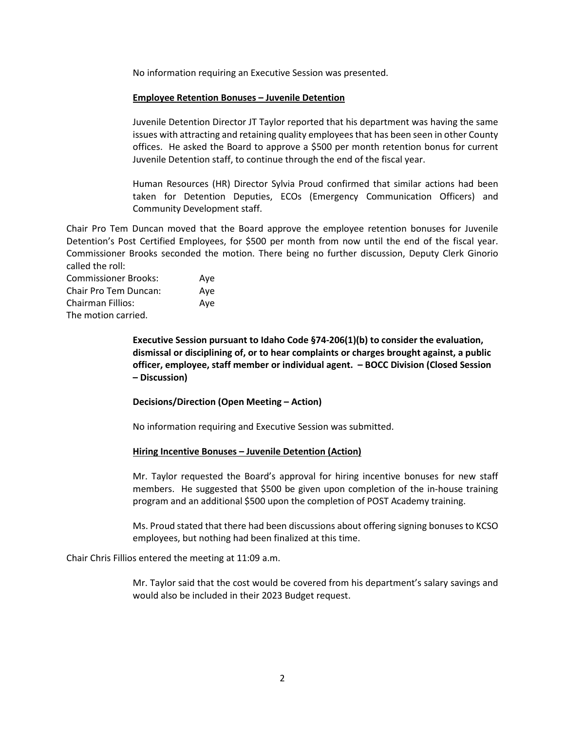No information requiring an Executive Session was presented.

## **Employee Retention Bonuses – Juvenile Detention**

Juvenile Detention Director JT Taylor reported that his department was having the same issues with attracting and retaining quality employees that has been seen in other County offices. He asked the Board to approve a \$500 per month retention bonus for current Juvenile Detention staff, to continue through the end of the fiscal year.

Human Resources (HR) Director Sylvia Proud confirmed that similar actions had been taken for Detention Deputies, ECOs (Emergency Communication Officers) and Community Development staff.

Chair Pro Tem Duncan moved that the Board approve the employee retention bonuses for Juvenile Detention's Post Certified Employees, for \$500 per month from now until the end of the fiscal year. Commissioner Brooks seconded the motion. There being no further discussion, Deputy Clerk Ginorio called the roll:

Commissioner Brooks: Aye Chair Pro Tem Duncan: Aye Chairman Fillios: Aye The motion carried.

> **Executive Session pursuant to Idaho Code §74-206(1)(b) to consider the evaluation, dismissal or disciplining of, or to hear complaints or charges brought against, a public officer, employee, staff member or individual agent. – BOCC Division (Closed Session – Discussion)**

### **Decisions/Direction (Open Meeting – Action)**

No information requiring and Executive Session was submitted.

### **Hiring Incentive Bonuses – Juvenile Detention (Action)**

Mr. Taylor requested the Board's approval for hiring incentive bonuses for new staff members. He suggested that \$500 be given upon completion of the in-house training program and an additional \$500 upon the completion of POST Academy training.

Ms. Proud stated that there had been discussions about offering signing bonuses to KCSO employees, but nothing had been finalized at this time.

Chair Chris Fillios entered the meeting at 11:09 a.m.

Mr. Taylor said that the cost would be covered from his department's salary savings and would also be included in their 2023 Budget request.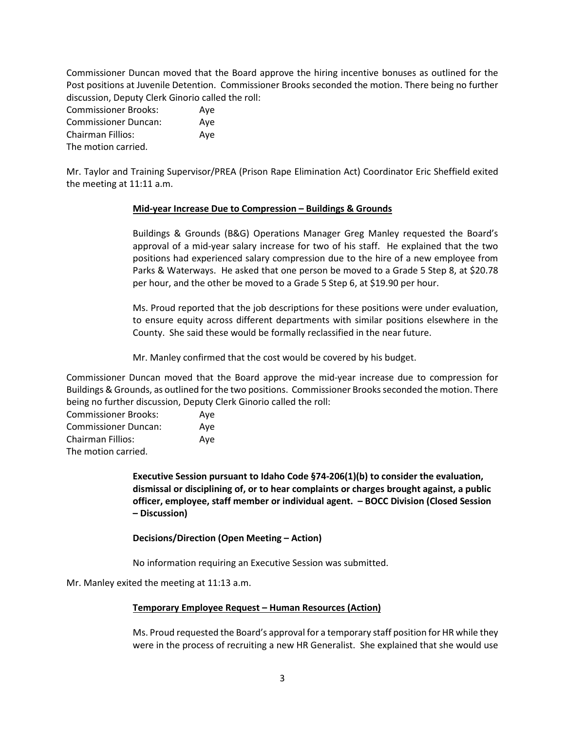Commissioner Duncan moved that the Board approve the hiring incentive bonuses as outlined for the Post positions at Juvenile Detention. Commissioner Brooks seconded the motion. There being no further discussion, Deputy Clerk Ginorio called the roll:

| <b>Commissioner Brooks:</b> | Aye |
|-----------------------------|-----|
| <b>Commissioner Duncan:</b> | Ave |
| <b>Chairman Fillios:</b>    | Ave |
| The motion carried.         |     |

Mr. Taylor and Training Supervisor/PREA (Prison Rape Elimination Act) Coordinator Eric Sheffield exited the meeting at 11:11 a.m.

## **Mid-year Increase Due to Compression – Buildings & Grounds**

Buildings & Grounds (B&G) Operations Manager Greg Manley requested the Board's approval of a mid-year salary increase for two of his staff. He explained that the two positions had experienced salary compression due to the hire of a new employee from Parks & Waterways. He asked that one person be moved to a Grade 5 Step 8, at \$20.78 per hour, and the other be moved to a Grade 5 Step 6, at \$19.90 per hour.

Ms. Proud reported that the job descriptions for these positions were under evaluation, to ensure equity across different departments with similar positions elsewhere in the County. She said these would be formally reclassified in the near future.

Mr. Manley confirmed that the cost would be covered by his budget.

Commissioner Duncan moved that the Board approve the mid-year increase due to compression for Buildings & Grounds, as outlined for the two positions. Commissioner Brooksseconded the motion. There being no further discussion, Deputy Clerk Ginorio called the roll:

| <b>Commissioner Brooks:</b> | Ave |
|-----------------------------|-----|
| <b>Commissioner Duncan:</b> | Aye |
| <b>Chairman Fillios:</b>    | Ave |
| The motion carried.         |     |

**Executive Session pursuant to Idaho Code §74-206(1)(b) to consider the evaluation, dismissal or disciplining of, or to hear complaints or charges brought against, a public officer, employee, staff member or individual agent. – BOCC Division (Closed Session – Discussion)**

## **Decisions/Direction (Open Meeting – Action)**

No information requiring an Executive Session was submitted.

Mr. Manley exited the meeting at 11:13 a.m.

### **Temporary Employee Request – Human Resources (Action)**

Ms. Proud requested the Board's approval for a temporary staff position for HR while they were in the process of recruiting a new HR Generalist. She explained that she would use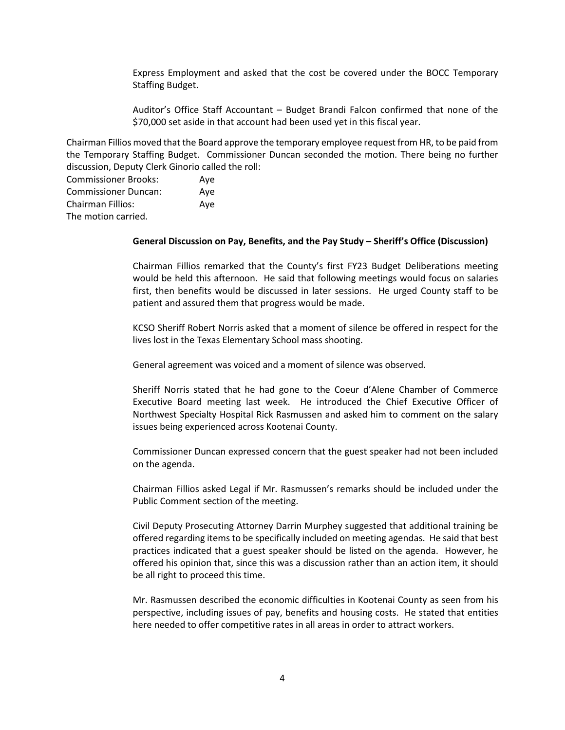Express Employment and asked that the cost be covered under the BOCC Temporary Staffing Budget.

Auditor's Office Staff Accountant – Budget Brandi Falcon confirmed that none of the \$70,000 set aside in that account had been used yet in this fiscal year.

Chairman Fillios moved that the Board approve the temporary employee request from HR, to be paid from the Temporary Staffing Budget. Commissioner Duncan seconded the motion. There being no further discussion, Deputy Clerk Ginorio called the roll:

| <b>Commissioner Brooks:</b> | Ave |
|-----------------------------|-----|
| <b>Commissioner Duncan:</b> | Ave |
| Chairman Fillios:           | Ave |
| The motion carried.         |     |

#### **General Discussion on Pay, Benefits, and the Pay Study – Sheriff's Office (Discussion)**

Chairman Fillios remarked that the County's first FY23 Budget Deliberations meeting would be held this afternoon. He said that following meetings would focus on salaries first, then benefits would be discussed in later sessions. He urged County staff to be patient and assured them that progress would be made.

KCSO Sheriff Robert Norris asked that a moment of silence be offered in respect for the lives lost in the Texas Elementary School mass shooting.

General agreement was voiced and a moment of silence was observed.

Sheriff Norris stated that he had gone to the Coeur d'Alene Chamber of Commerce Executive Board meeting last week. He introduced the Chief Executive Officer of Northwest Specialty Hospital Rick Rasmussen and asked him to comment on the salary issues being experienced across Kootenai County.

Commissioner Duncan expressed concern that the guest speaker had not been included on the agenda.

Chairman Fillios asked Legal if Mr. Rasmussen's remarks should be included under the Public Comment section of the meeting.

Civil Deputy Prosecuting Attorney Darrin Murphey suggested that additional training be offered regarding items to be specifically included on meeting agendas. He said that best practices indicated that a guest speaker should be listed on the agenda. However, he offered his opinion that, since this was a discussion rather than an action item, it should be all right to proceed this time.

Mr. Rasmussen described the economic difficulties in Kootenai County as seen from his perspective, including issues of pay, benefits and housing costs. He stated that entities here needed to offer competitive rates in all areas in order to attract workers.